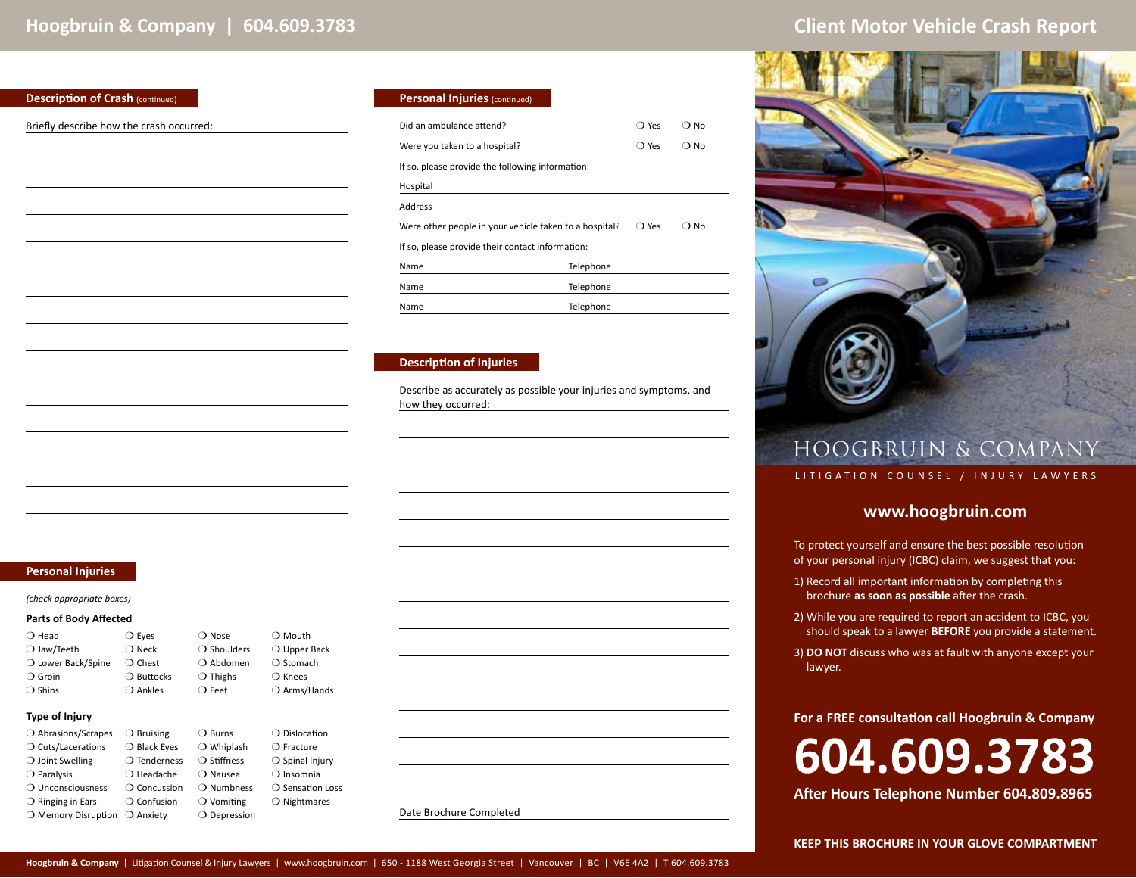### **Description of Crash (continued)**

Briefly describe how the crash occurred:

| <b>Personal Injuries (continued)</b>                   |           |                |      |
|--------------------------------------------------------|-----------|----------------|------|
| Did an ambulance attend?                               |           | ○ Yes          | ∩ No |
| Were you taken to a hospital?                          |           | ○ Yes          | റ No |
| If so, please provide the following information:       |           |                |      |
| Hospital                                               |           |                |      |
| Address                                                |           |                |      |
| Were other people in your vehicle taken to a hospital? |           | $\bigcirc$ Yes | No   |
| If so, please provide their contact information:       |           |                |      |
| Name                                                   | Telephone |                |      |
| Name                                                   | Telephone |                |      |
| Name                                                   | Telephone |                |      |

### **Description of Injuries**

Describe as accurately as possible your injuries and symptoms, and how they occurred:

### **Personal Injuries**

*(check appropriate boxes)* 

### **Parts of Body Affected**

| $\bigcirc$ Head      | $\bigcirc$ Eyes     | $\bigcirc$ Nose      | $\bigcirc$ Mouth      |
|----------------------|---------------------|----------------------|-----------------------|
| $\bigcirc$ Jaw/Teeth | $\bigcirc$ Neck     | $\bigcirc$ Shoulders | $\bigcirc$ Upper Back |
| O Lower Back/Spine   | $\bigcirc$ Chest    | ○ Abdomen            | $\bigcirc$ Stomach    |
| $\bigcirc$ Groin     | $\bigcirc$ Buttocks | $\bigcirc$ Thighs    | $\bigcirc$ Knees      |
| $\bigcirc$ Shins     | ○ Ankles            | $\bigcirc$ Feet      | ○ Arms/Hands          |
|                      |                     |                      |                       |

### **Type of Injury**

| ○ Abrasions/Scrapes          | $\bigcirc$ Bruising   | $\bigcirc$ Burns    | $\bigcirc$ Dislocation    |
|------------------------------|-----------------------|---------------------|---------------------------|
| ○ Cuts/Lacerations           | $\bigcirc$ Black Eyes | $\bigcirc$ Whiplash | $\bigcirc$ Fracture       |
| $\bigcirc$ Joint Swelling    | $\bigcirc$ Tenderness | ○ Stiffness         | $\bigcirc$ Spinal Injury  |
| $\bigcirc$ Paralysis         | $\bigcirc$ Headache   | ○ Nausea            | $\bigcirc$ Insomnia       |
| O Unconsciousness            | $\bigcirc$ Concussion | $\bigcirc$ Numbness | $\bigcirc$ Sensation Loss |
| $\bigcirc$ Ringing in Ears   | $\bigcirc$ Confusion  | $\bigcirc$ Vomiting | $\bigcirc$ Nightmares     |
| $\bigcirc$ Memory Disruption | $\bigcirc$ Anxiety    | ○ Depression        |                           |

|       | ∪ Mourn               |
|-------|-----------------------|
| lders | $\bigcirc$ Upper Back |
| men   | ○ Stomach             |
| ιS    | $\bigcirc$ Knees      |
|       | ○ Arms/Hands          |

| Date Brochure Completed |
|-------------------------|
|-------------------------|



# HOOGBRUIN & COMPANY

### LITIGATION COUNSEL / INJURY LAWYERS

## **www.hoogbruin.com**

To protect yourself and ensure the best possible resolution of your personal injury (ICBC) claim, we suggest that you:

- 1) Record all important information by completing this brochure **as soon as possible** after the crash.
- 2) While you are required to report an accident to ICBC, you should speak to a lawyer **BEFORE** you provide a statement.
- 3) **DO NOT** discuss who was at fault with anyone except your lawyer.

## **For a FREE consultation call Hoogbruin & Company**

# **604.609.3783**

**After Hours Telephone Number 604.809.8965**